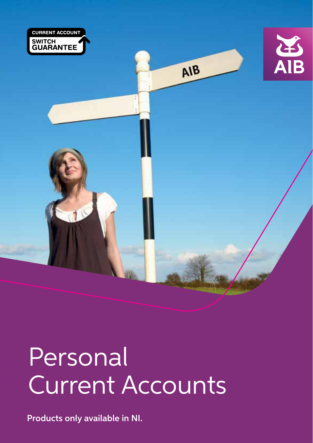

# Personal Current Accounts

Products only available in NI.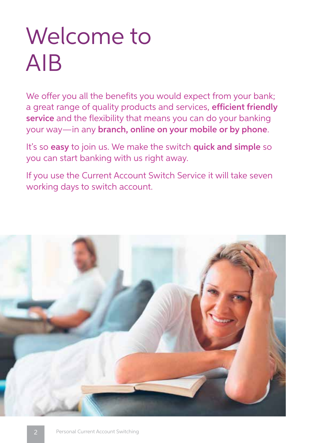# Welcome to AIB

We offer you all the benefits you would expect from your bank; a great range of quality products and services, efficient friendly service and the flexibility that means you can do your banking your way—in any branch, online on your mobile or by phone.

It's so easy to join us. We make the switch quick and simple so you can start banking with us right away.

If you use the Current Account Switch Service it will take seven working days to switch account.

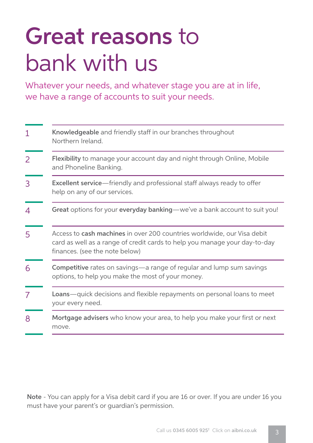# Great reasons to bank with us

Whatever your needs, and whatever stage you are at in life, we have a range of accounts to suit your needs.

| 1 | Knowledgeable and friendly staff in our branches throughout<br>Northern Ireland.                                                                                                        |  |
|---|-----------------------------------------------------------------------------------------------------------------------------------------------------------------------------------------|--|
| 2 | <b>Flexibility</b> to manage your account day and night through Online, Mobile<br>and Phoneline Banking.                                                                                |  |
| 3 | <b>Excellent service</b> —friendly and professional staff always ready to offer<br>help on any of our services.                                                                         |  |
| 4 | Great options for your everyday banking-we've a bank account to suit you!                                                                                                               |  |
| 5 | Access to cash machines in over 200 countries worldwide, our Visa debit<br>card as well as a range of credit cards to help you manage your day-to-day<br>finances. (see the note below) |  |
| 6 | <b>Competitive</b> rates on savings—a range of regular and lump sum savings<br>options, to help you make the most of your money.                                                        |  |
| 7 | <b>Loans</b> —quick decisions and flexible repayments on personal loans to meet<br>your every need.                                                                                     |  |
| 8 | Mortgage advisers who know your area, to help you make your first or next<br>move.                                                                                                      |  |

Note - You can apply for a Visa debit card if you are 16 or over. If you are under 16 you must have your parent's or guardian's permission.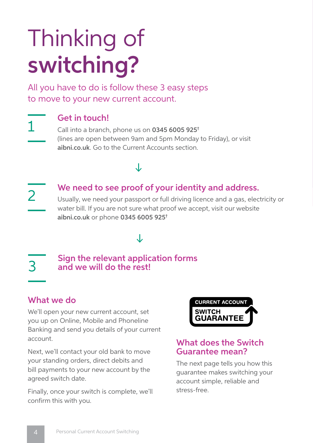# Thinking of switching?

All you have to do is follow these 3 easy steps to move to your new current account.



### Get in touch!

Call into a branch, phone us on 0345 6005 925† (lines are open between 9am and 5pm Monday to Friday), or visit aibni.co.uk. Go to the Current Accounts section.

### J

J

2

### We need to see proof of your identity and address.

Usually, we need your passport or full driving licence and a gas, electricity or water bill. If you are not sure what proof we accept, visit our website aibni.co.uk or phone 0345 6005 925†

#### Sign the relevant application forms and we will do the rest! 3

### What we do

We'll open your new current account, set you up on Online, Mobile and Phoneline Banking and send you details of your current account.

Next, we'll contact your old bank to move your standing orders, direct debits and bill payments to your new account by the agreed switch date.

Finally, once your switch is complete, we'll confirm this with you.



#### What does the Switch Guarantee mean?

The next page tells you how this guarantee makes switching your account simple, reliable and stress-free.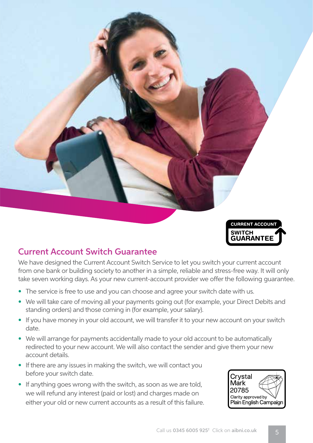

### Current Account Switch Guarantee

We have designed the Current Account Switch Service to let you switch your current account from one bank or building society to another in a simple, reliable and stress-free way. It will only take seven working days. As your new current-account provider we offer the following guarantee.

- The service is free to use and you can choose and agree your switch date with us.
- We will take care of moving all your payments going out (for example, your Direct Debits and standing orders) and those coming in (for example, your salary).
- If you have money in your old account, we will transfer it to your new account on your switch date.
- We will arrange for payments accidentally made to your old account to be automatically redirected to your new account. We will also contact the sender and give them your new account details.
- If there are any issues in making the switch, we will contact you before your switch date.
- If anything goes wrong with the switch, as soon as we are told, we will refund any interest (paid or lost) and charges made on either your old or new current accounts as a result of this failure.

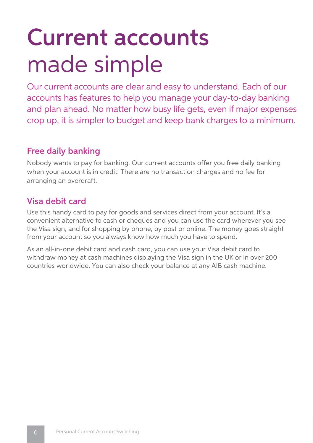# Current accounts made simple

Our current accounts are clear and easy to understand. Each of our accounts has features to help you manage your day-to-day banking and plan ahead. No matter how busy life gets, even if major expenses crop up, it is simpler to budget and keep bank charges to a minimum.

### Free daily banking

Nobody wants to pay for banking. Our current accounts offer you free daily banking when your account is in credit. There are no transaction charges and no fee for arranging an overdraft.

### Visa debit card

Use this handy card to pay for goods and services direct from your account. It's a convenient alternative to cash or cheques and you can use the card wherever you see the Visa sign, and for shopping by phone, by post or online. The money goes straight from your account so you always know how much you have to spend.

As an all-in-one debit card and cash card, you can use your Visa debit card to withdraw money at cash machines displaying the Visa sign in the UK or in over 200 countries worldwide. You can also check your balance at any AIB cash machine.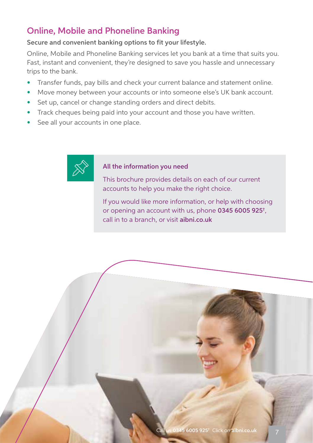### Online, Mobile and Phoneline Banking

#### Secure and convenient banking options to fit your lifestyle.

Online, Mobile and Phoneline Banking services let you bank at a time that suits you. Fast, instant and convenient, they're designed to save you hassle and unnecessary trips to the bank.

- **•** Transfer funds, pay bills and check your current balance and statement online.
- **•** Move money between your accounts or into someone else's UK bank account.
- **•** Set up, cancel or change standing orders and direct debits.
- **•** Track cheques being paid into your account and those you have written.
- **•** See all your accounts in one place.



#### All the information you need

This brochure provides details on each of our current accounts to help you make the right choice.

If you would like more information, or help with choosing or opening an account with us, phone 0345 6005 925† , call in to a branch, or visit aibni.co.uk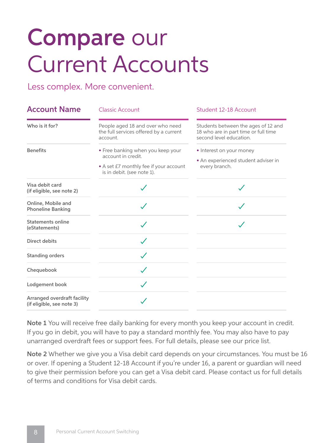# Compare our Current Accounts

Less complex. More convenient.

| <b>Account Name</b>                                      | <b>Classic Account</b>                                                                                                          | Student 12-18 Account                                                                                 |
|----------------------------------------------------------|---------------------------------------------------------------------------------------------------------------------------------|-------------------------------------------------------------------------------------------------------|
| Who is it for?                                           | People aged 18 and over who need<br>the full services offered by a current<br>account.                                          | Students between the ages of 12 and<br>18 who are in part time or full time<br>second level education |
| <b>Benefits</b>                                          | • Free banking when you keep your<br>account in credit.<br>• A set £7 monthly fee if your account<br>is in debit. (see note 1). | • Interest on your money<br>• An experienced student adviser in<br>every branch.                      |
| Visa debit card<br>(if eligible, see note 2)             |                                                                                                                                 |                                                                                                       |
| Online, Mobile and<br><b>Phoneline Banking</b>           |                                                                                                                                 |                                                                                                       |
| Statements online<br>(eStatements)                       |                                                                                                                                 |                                                                                                       |
| Direct debits                                            |                                                                                                                                 |                                                                                                       |
| <b>Standing orders</b>                                   | $\checkmark$                                                                                                                    |                                                                                                       |
| Chequebook                                               |                                                                                                                                 |                                                                                                       |
| Lodgement book                                           |                                                                                                                                 |                                                                                                       |
| Arranged overdraft facility<br>(if eligible, see note 3) |                                                                                                                                 |                                                                                                       |

Note 1 You will receive free daily banking for every month you keep your account in credit. If you go in debit, you will have to pay a standard monthly fee. You may also have to pay unarranged overdraft fees or support fees. For full details, please see our price list.

Note 2 Whether we give you a Visa debit card depends on your circumstances. You must be 16 or over. If opening a Student 12-18 Account if you're under 16, a parent or guardian will need to give their permission before you can get a Visa debit card. Please contact us for full details of terms and conditions for Visa debit cards.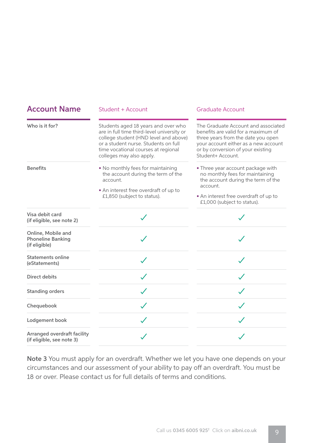| <b>Account Name</b>                                             | Student + Account                                                                                                                                                                                                                     | <b>Graduate Account</b>                                                                                                                                                                                            |
|-----------------------------------------------------------------|---------------------------------------------------------------------------------------------------------------------------------------------------------------------------------------------------------------------------------------|--------------------------------------------------------------------------------------------------------------------------------------------------------------------------------------------------------------------|
| Who is it for?                                                  | Students aged 18 years and over who<br>are in full time third-level university or<br>college student (HND level and above)<br>or a student nurse. Students on full<br>time vocational courses at regional<br>colleges may also apply. | The Graduate Account and associated<br>benefits are valid for a maximum of<br>three years from the date you open<br>your account either as a new account<br>or by conversion of your existing<br>Student+ Account. |
| <b>Benefits</b>                                                 | • No monthly fees for maintaining<br>the account during the term of the<br>account.<br>• An interest free overdraft of up to<br>£1,850 (subject to status).                                                                           | • Three year account package with<br>no monthly fees for maintaining<br>the account during the term of the<br>account.<br>• An interest free overdraft of up to<br>£1,000 (subject to status).                     |
| Visa debit card<br>(if eligible, see note 2)                    |                                                                                                                                                                                                                                       |                                                                                                                                                                                                                    |
| Online, Mobile and<br><b>Phoneline Banking</b><br>(if eligible) |                                                                                                                                                                                                                                       |                                                                                                                                                                                                                    |
| Statements online<br>(eStatements)                              | $\checkmark$                                                                                                                                                                                                                          | $\checkmark$                                                                                                                                                                                                       |
| Direct debits                                                   |                                                                                                                                                                                                                                       |                                                                                                                                                                                                                    |
| <b>Standing orders</b>                                          |                                                                                                                                                                                                                                       |                                                                                                                                                                                                                    |
| Chequebook                                                      |                                                                                                                                                                                                                                       |                                                                                                                                                                                                                    |
| Lodgement book                                                  |                                                                                                                                                                                                                                       |                                                                                                                                                                                                                    |
| Arranged overdraft facility<br>(if eligible, see note 3)        |                                                                                                                                                                                                                                       |                                                                                                                                                                                                                    |

Note 3 You must apply for an overdraft. Whether we let you have one depends on your circumstances and our assessment of your ability to pay off an overdraft. You must be 18 or over. Please contact us for full details of terms and conditions.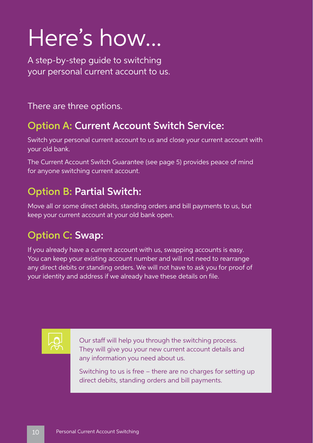# Here's how...

A step-by-step guide to switching your personal current account to us.

There are three options.

### Option A: Current Account Switch Service:

Switch your personal current account to us and close your current account with your old bank.

The Current Account Switch Guarantee (see page 5) provides peace of mind for anyone switching current account.

### Option B: Partial Switch:

Move all or some direct debits, standing orders and bill payments to us, but keep your current account at your old bank open.

## Option C: Swap:

If you already have a current account with us, swapping accounts is easy. You can keep your existing account number and will not need to rearrange any direct debits or standing orders. We will not have to ask you for proof of your identity and address if we already have these details on file.



Our staff will help you through the switching process. They will give you your new current account details and any information you need about us.

Switching to us is free – there are no charges for setting up direct debits, standing orders and bill payments.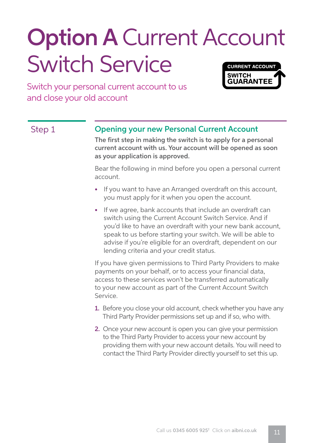## **Option A Current Account** Switch Service **CURRENT ACCOUNT SWITCH**

Switch your personal current account to us and close your old account

#### Step 1 **Opening your new Personal Current Account**

The first step in making the switch is to apply for a personal current account with us. Your account will be opened as soon as your application is approved.

**GUARANTEE** 

Bear the following in mind before you open a personal current account.

- If you want to have an Arranged overdraft on this account, you must apply for it when you open the account.
- If we agree, bank accounts that include an overdraft can switch using the Current Account Switch Service. And if you'd like to have an overdraft with your new bank account, speak to us before starting your switch. We will be able to advise if you're eligible for an overdraft, dependent on our lending criteria and your credit status.

If you have given permissions to Third Party Providers to make payments on your behalf, or to access your financial data, access to these services won't be transferred automatically to your new account as part of the Current Account Switch Service.

- 1. Before you close your old account, check whether you have any Third Party Provider permissions set up and if so, who with.
- 2. Once your new account is open you can give your permission to the Third Party Provider to access your new account by providing them with your new account details. You will need to contact the Third Party Provider directly yourself to set this up.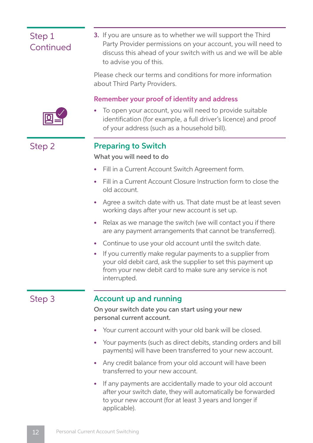### Step 1 **Continued**

3. If you are unsure as to whether we will support the Third Party Provider permissions on your account, you will need to discuss this ahead of your switch with us and we will be able to advise you of this.

Please check our terms and conditions for more information about Third Party Providers.

#### Remember your proof of identity and address



To open your account, you will need to provide suitable identification (for example, a full driver's licence) and proof of your address (such as a household bill).

#### Step 2 Preparing to Switch

#### What you will need to do

- Fill in a Current Account Switch Agreement form.
- Fill in a Current Account Closure Instruction form to close the old account.
- Agree a switch date with us. That date must be at least seven working days after your new account is set up.
- Relax as we manage the switch (we will contact you if there are any payment arrangements that cannot be transferred).
- Continue to use your old account until the switch date.
- If you currently make regular payments to a supplier from your old debit card, ask the supplier to set this payment up from your new debit card to make sure any service is not interrupted.

#### Step 3 **Account up and running**

On your switch date you can start using your new personal current account.

- Your current account with your old bank will be closed.
- Your payments (such as direct debits, standing orders and bill payments) will have been transferred to your new account.
- Any credit balance from your old account will have been transferred to your new account.
- If any payments are accidentally made to your old account after your switch date, they will automatically be forwarded to your new account (for at least 3 years and longer if applicable).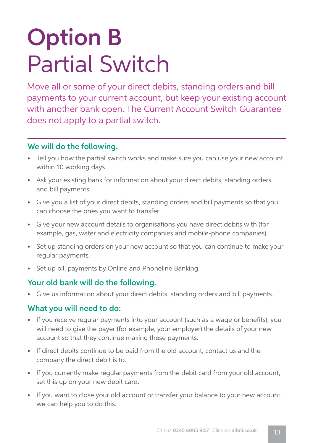# Option B Partial Switch

Move all or some of your direct debits, standing orders and bill payments to your current account, but keep your existing account with another bank open. The Current Account Switch Guarantee does not apply to a partial switch.

#### We will do the following.

- Tell you how the partial switch works and make sure you can use your new account within 10 working days.
- Ask your existing bank for information about your direct debits, standing orders and bill payments.
- Give you a list of your direct debits, standing orders and bill payments so that you can choose the ones you want to transfer.
- Give your new account details to organisations you have direct debits with (for example, gas, water and electricity companies and mobile-phone companies).
- Set up standing orders on your new account so that you can continue to make your regular payments.
- Set up bill payments by Online and Phoneline Banking.

#### Your old bank will do the following.

• Give us information about your direct debits, standing orders and bill payments.

#### What you will need to do:

- If you receive regular payments into your account (such as a wage or benefits), you will need to give the payer (for example, your employer) the details of your new account so that they continue making these payments.
- If direct debits continue to be paid from the old account, contact us and the company the direct debit is to.
- If you currently make regular payments from the debit card from your old account, set this up on your new debit card.
- If you want to close your old account or transfer your balance to your new account, we can help you to do this.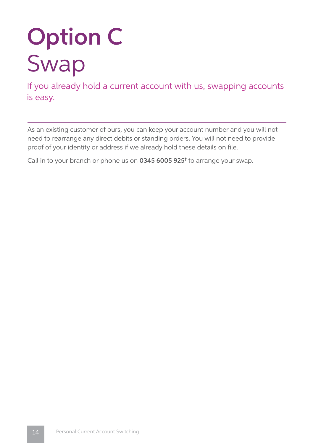# Option C Swap

If you already hold a current account with us, swapping accounts is easy.

As an existing customer of ours, you can keep your account number and you will not need to rearrange any direct debits or standing orders. You will not need to provide proof of your identity or address if we already hold these details on file.

Call in to your branch or phone us on 0345 6005 925<sup>t</sup> to arrange your swap.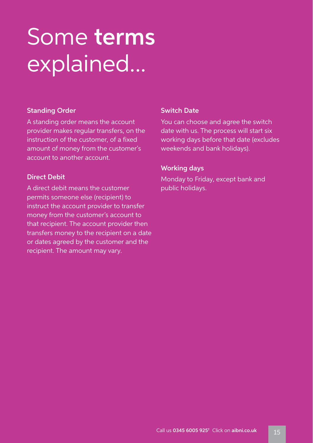# Some terms explained...

#### Standing Order

A standing order means the account provider makes regular transfers, on the instruction of the customer, of a fixed amount of money from the customer's account to another account.

#### Direct Debit

A direct debit means the customer permits someone else (recipient) to instruct the account provider to transfer money from the customer's account to that recipient. The account provider then transfers money to the recipient on a date or dates agreed by the customer and the recipient. The amount may vary.

#### Switch Date

You can choose and agree the switch date with us. The process will start six working days before that date (excludes weekends and bank holidays).

#### Working days

Monday to Friday, except bank and public holidays.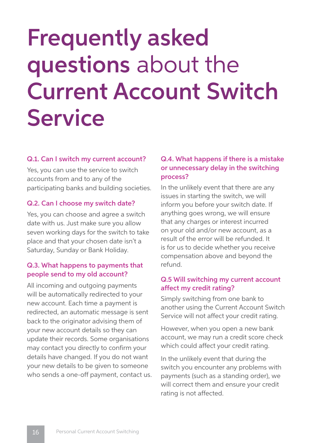# Frequently asked questions about the Current Account Switch **Service**

#### Q.1. Can I switch my current account?

Yes, you can use the service to switch accounts from and to any of the participating banks and building societies.

#### Q.2. Can I choose my switch date?

Yes, you can choose and agree a switch date with us. Just make sure you allow seven working days for the switch to take place and that your chosen date isn't a Saturday, Sunday or Bank Holiday.

#### Q.3. What happens to payments that people send to my old account?

All incoming and outgoing payments will be automatically redirected to your new account. Each time a payment is redirected, an automatic message is sent back to the originator advising them of your new account details so they can update their records. Some organisations may contact you directly to confirm your details have changed. If you do not want your new details to be given to someone who sends a one-off payment, contact us.

#### Q.4. What happens if there is a mistake or unnecessary delay in the switching process?

In the unlikely event that there are any issues in starting the switch, we will inform you before your switch date. If anything goes wrong, we will ensure that any charges or interest incurred on your old and/or new account, as a result of the error will be refunded. It is for us to decide whether you receive compensation above and beyond the refund.

#### Q.5 Will switching my current account affect my credit rating?

Simply switching from one bank to another using the Current Account Switch Service will not affect your credit rating.

However, when you open a new bank account, we may run a credit score check which could affect your credit rating.

In the unlikely event that during the switch you encounter any problems with payments (such as a standing order), we will correct them and ensure your credit rating is not affected.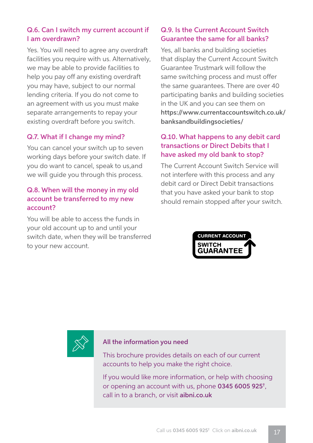#### Q.6. Can I switch my current account if I am overdrawn?

Yes. You will need to agree any overdraft facilities you require with us. Alternatively, we may be able to provide facilities to help you pay off any existing overdraft you may have, subject to our normal lending criteria. If you do not come to an agreement with us you must make separate arrangements to repay your existing overdraft before you switch.

#### Q.7. What if I change my mind?

You can cancel your switch up to seven working days before your switch date. If you do want to cancel, speak to us,and we will guide you through this process.

#### Q.8. When will the money in my old account be transferred to my new account?

You will be able to access the funds in your old account up to and until your switch date, when they will be transferred to your new account.

#### Q.9. Is the Current Account Switch Guarantee the same for all banks?

Yes, all banks and building societies that display the Current Account Switch Guarantee Trustmark will follow the same switching process and must offer the same guarantees. There are over 40 participating banks and building societies in the UK and you can see them on https://www.currentaccountswitch.co.uk/ banksandbuildingsocieties/

#### Q.10. What happens to any debit card transactions or Direct Debits that I have asked my old bank to stop?

The Current Account Switch Service will not interfere with this process and any debit card or Direct Debit transactions that you have asked your bank to stop should remain stopped after your switch.





#### All the information you need

This brochure provides details on each of our current accounts to help you make the right choice.

If you would like more information, or help with choosing or opening an account with us, phone 0345 6005 925† , call in to a branch, or visit aibni.co.uk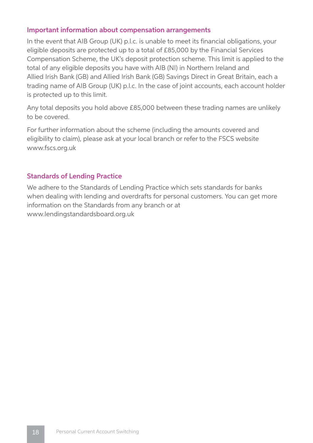#### Important information about compensation arrangements

In the event that AIB Group (UK) p.l.c. is unable to meet its financial obligations, your eligible deposits are protected up to a total of £85,000 by the Financial Services Compensation Scheme, the UK's deposit protection scheme. This limit is applied to the total of any eligible deposits you have with AIB (NI) in Northern Ireland and Allied Irish Bank (GB) and Allied Irish Bank (GB) Savings Direct in Great Britain, each a trading name of AIB Group (UK) p.l.c. In the case of joint accounts, each account holder is protected up to this limit.

Any total deposits you hold above £85,000 between these trading names are unlikely to be covered.

For further information about the scheme (including the amounts covered and eligibility to claim), please ask at your local branch or refer to the FSCS website www.fscs.org.uk

#### Standards of Lending Practice

We adhere to the Standards of Lending Practice which sets standards for banks when dealing with lending and overdrafts for personal customers. You can get more information on the Standards from any branch or at www.lendingstandardsboard.org.uk